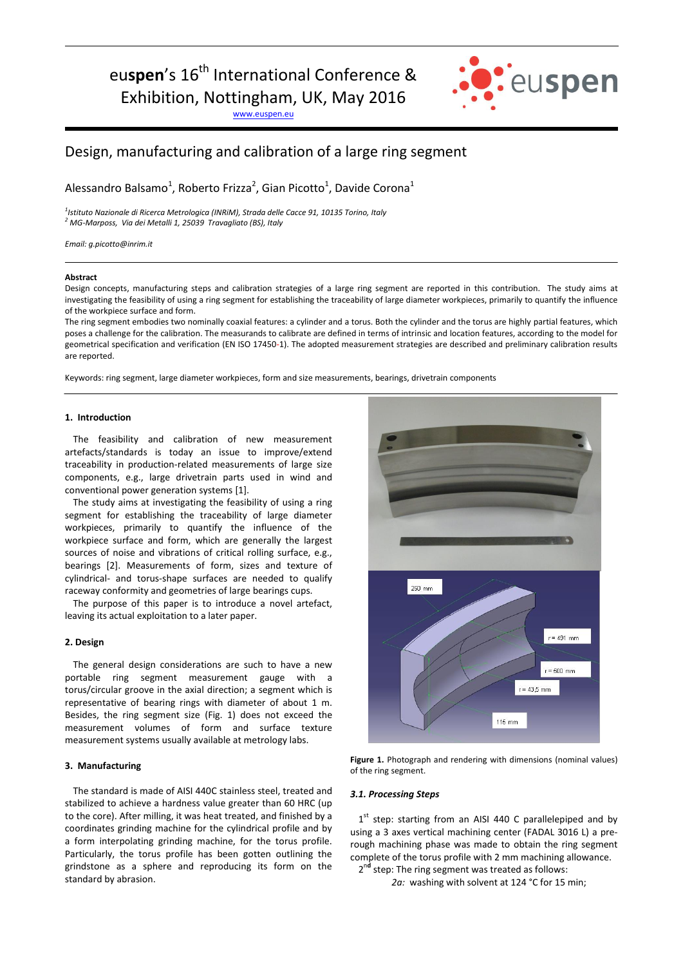# eu**spen**'s 16<sup>th</sup> International Conference &

Exhibition, Nottingham, UK, May 2016

[www.euspen.eu](http://www.euspen.eu/)



## Design, manufacturing and calibration of a large ring segment

Alessandro Balsamo<sup>1</sup>, Roberto Frizza<sup>2</sup>, Gian Picotto<sup>1</sup>, Davide Corona<sup>1</sup>

*1 Istituto Nazionale di Ricerca Metrologica (INRiM), Strada delle Cacce 91, 10135 Torino, Italy <sup>2</sup> MG-Marposs, Via dei Metalli 1, 25039 Travagliato (BS), Italy*

*Email: g.picotto@inrim.it*

#### **Abstract**

Design concepts, manufacturing steps and calibration strategies of a large ring segment are reported in this contribution. The study aims at investigating the feasibility of using a ring segment for establishing the traceability of large diameter workpieces, primarily to quantify the influence of the workpiece surface and form.

The ring segment embodies two nominally coaxial features: a cylinder and a torus. Both the cylinder and the torus are highly partial features, which poses a challenge for the calibration. The measurands to calibrate are defined in terms of intrinsic and location features, according to the model for geometrical specification and verification (EN ISO 17450-1). The adopted measurement strategies are described and preliminary calibration results are reported.

Keywords: ring segment, large diameter workpieces, form and size measurements, bearings, drivetrain components

#### **1. Introduction**

The feasibility and calibration of new measurement artefacts/standards is today an issue to improve/extend traceability in production-related measurements of large size components, e.g., large drivetrain parts used in wind and conventional power generation systems [1].

The study aims at investigating the feasibility of using a ring segment for establishing the traceability of large diameter workpieces, primarily to quantify the influence of the workpiece surface and form, which are generally the largest sources of noise and vibrations of critical rolling surface, e.g., bearings [2]. Measurements of form, sizes and texture of cylindrical- and torus-shape surfaces are needed to qualify raceway conformity and geometries of large bearings cups.

The purpose of this paper is to introduce a novel artefact, leaving its actual exploitation to a later paper.

#### **2. Design**

The general design considerations are such to have a new portable ring segment measurement gauge with a torus/circular groove in the axial direction; a segment which is representative of bearing rings with diameter of about 1 m. Besides, the ring segment size (Fig. 1) does not exceed the measurement volumes of form and surface texture measurement systems usually available at metrology labs.

#### **3. Manufacturing**

The standard is made of AISI 440C stainless steel, treated and stabilized to achieve a hardness value greater than 60 HRC (up to the core). After milling, it was heat treated, and finished by a coordinates grinding machine for the cylindrical profile and by a form interpolating grinding machine, for the torus profile. Particularly, the torus profile has been gotten outlining the grindstone as a sphere and reproducing its form on the standard by abrasion.



Figure 1. Photograph and rendering with dimensions (nominal values) of the ring segment.

#### *3.1. Processing Steps*

1<sup>st</sup> step: starting from an AISI 440 C parallelepiped and by using a 3 axes vertical machining center (FADAL 3016 L) a prerough machining phase was made to obtain the ring segment complete of the torus profile with 2 mm machining allowance. 2<sup>nd</sup> step: The ring segment was treated as follows:

*2a:* washing with solvent at 124 °C for 15 min;